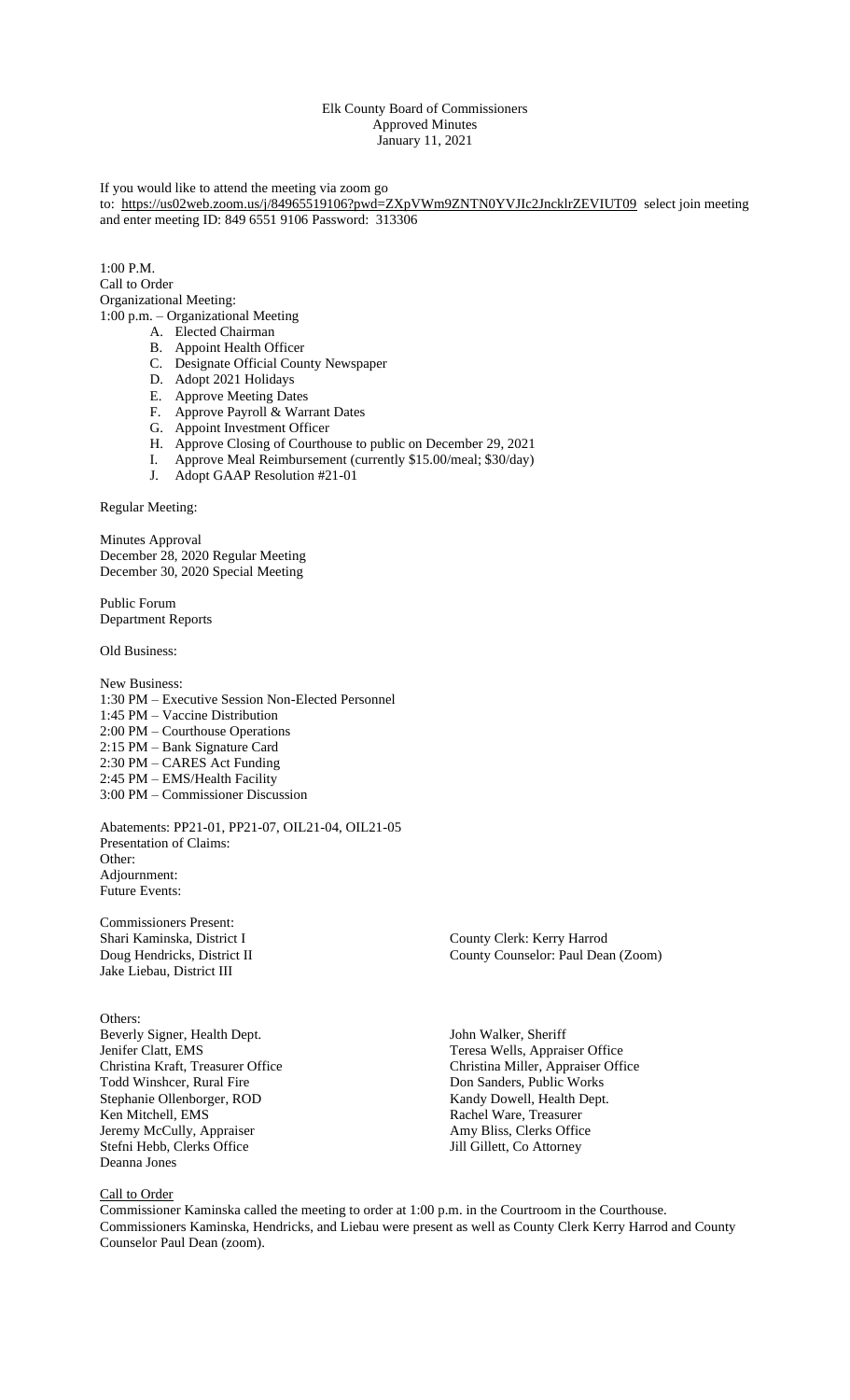# Elk County Board of Commissioners Approved Minutes January 11, 2021

# If you would like to attend the meeting via zoom go to: <https://us02web.zoom.us/j/84965519106?pwd=ZXpVWm9ZNTN0YVJIc2JncklrZEVIUT09> select join meeting and enter meeting ID: 849 6551 9106 Password: 313306

 $1:00 \text{ P M}$ Call to Order Organizational Meeting: 1:00 p.m. – Organizational Meeting

- A. Elected Chairman
	- B. Appoint Health Officer
	- C. Designate Official County Newspaper
	- D. Adopt 2021 Holidays
- E. Approve Meeting Dates
- F. Approve Payroll & Warrant Dates
- G. Appoint Investment Officer
- H. Approve Closing of Courthouse to public on December 29, 2021
- I. Approve Meal Reimbursement (currently \$15.00/meal; \$30/day)
- J. Adopt GAAP Resolution #21-01

Regular Meeting:

Minutes Approval December 28, 2020 Regular Meeting December 30, 2020 Special Meeting

Public Forum Department Reports

Old Business:

New Business: 1:30 PM – Executive Session Non-Elected Personnel 1:45 PM – Vaccine Distribution 2:00 PM – Courthouse Operations 2:15 PM – Bank Signature Card 2:30 PM – CARES Act Funding 2:45 PM – EMS/Health Facility 3:00 PM – Commissioner Discussion

Abatements: PP21-01, PP21-07, OIL21-04, OIL21-05 Presentation of Claims: Other: Adjournment: Future Events:

Commissioners Present: Jake Liebau, District III

Others: Beverly Signer, Health Dept. John Walker, Sheriff Jenifer Clatt, EMS Teresa Wells, Appraiser Office Stephanie Ollenborger, ROD Ken Mitchell, EMS<br>
Jeremy McCully, Appraiser<br>
Amy Bliss, Clerks Office Jeremy McCully, Appraiser Amy Bliss, Clerks Office Amy Bliss, Clerks Office Amy Bliss, Clerks Office Attorney Stefni Hebb, Clerks Office Deanna Jones

County Clerk: Kerry Harrod Doug Hendricks, District II County County Counselor: Paul Dean (Zoom)

Christina Kraft, Treasurer Office Christina Miller, Appraiser Office Todd Winshcer, Rural Fire Don Sanders, Public Works Don Sanders, Public Works<br>Kandy Dowell, Health Dept.

# Call to Order

Commissioner Kaminska called the meeting to order at 1:00 p.m. in the Courtroom in the Courthouse. Commissioners Kaminska, Hendricks, and Liebau were present as well as County Clerk Kerry Harrod and County Counselor Paul Dean (zoom).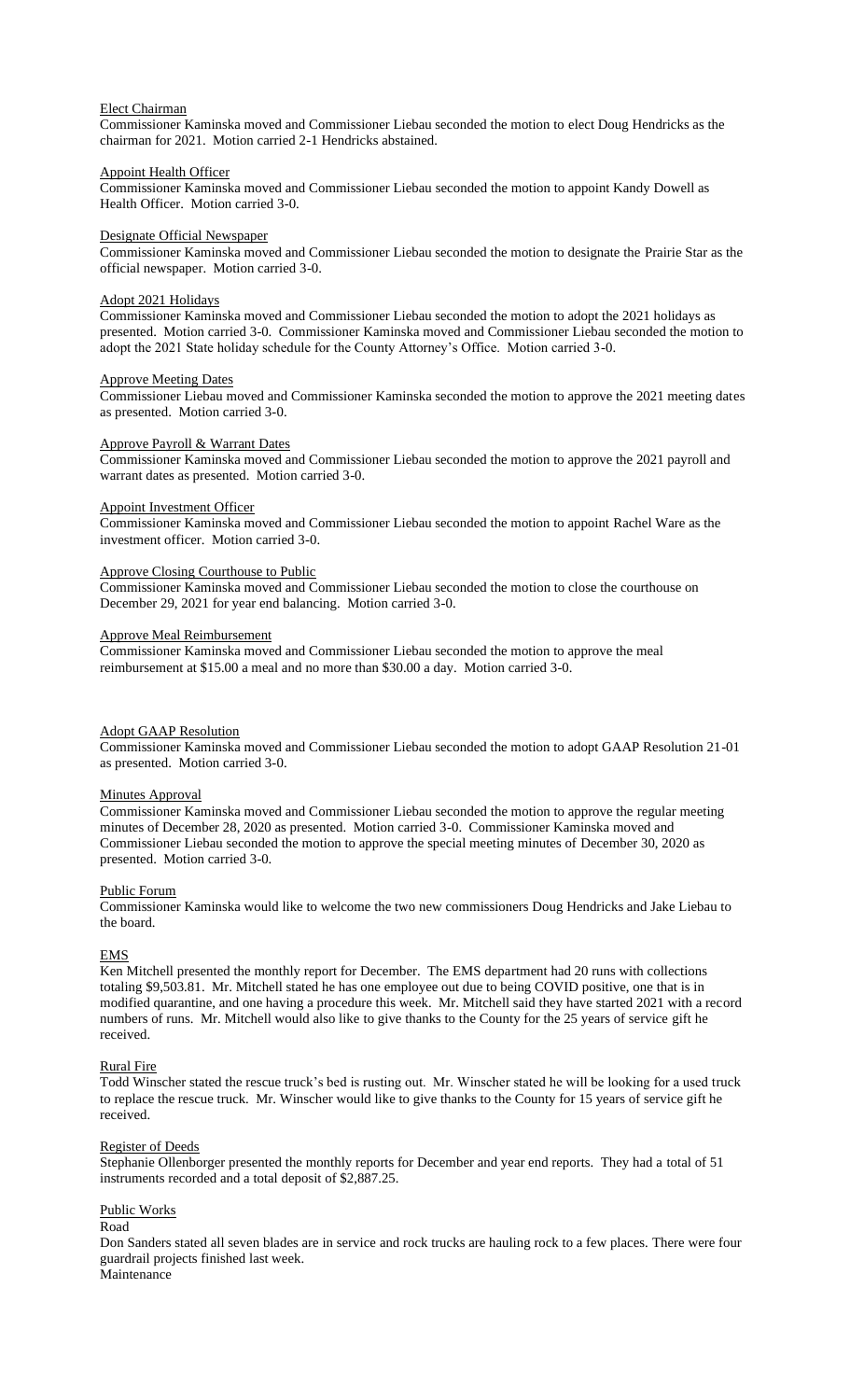### Elect Chairman

Commissioner Kaminska moved and Commissioner Liebau seconded the motion to elect Doug Hendricks as the chairman for 2021. Motion carried 2-1 Hendricks abstained.

### Appoint Health Officer

Commissioner Kaminska moved and Commissioner Liebau seconded the motion to appoint Kandy Dowell as Health Officer. Motion carried 3-0.

### Designate Official Newspaper

Commissioner Kaminska moved and Commissioner Liebau seconded the motion to designate the Prairie Star as the official newspaper. Motion carried 3-0.

# Adopt 2021 Holidays

Commissioner Kaminska moved and Commissioner Liebau seconded the motion to adopt the 2021 holidays as presented. Motion carried 3-0. Commissioner Kaminska moved and Commissioner Liebau seconded the motion to adopt the 2021 State holiday schedule for the County Attorney's Office. Motion carried 3-0.

#### Approve Meeting Dates

Commissioner Liebau moved and Commissioner Kaminska seconded the motion to approve the 2021 meeting dates as presented. Motion carried 3-0.

### Approve Payroll & Warrant Dates

Commissioner Kaminska moved and Commissioner Liebau seconded the motion to approve the 2021 payroll and warrant dates as presented. Motion carried 3-0.

# Appoint Investment Officer

Commissioner Kaminska moved and Commissioner Liebau seconded the motion to appoint Rachel Ware as the investment officer. Motion carried 3-0.

#### Approve Closing Courthouse to Public

Commissioner Kaminska moved and Commissioner Liebau seconded the motion to close the courthouse on December 29, 2021 for year end balancing. Motion carried 3-0.

### Approve Meal Reimbursement

Commissioner Kaminska moved and Commissioner Liebau seconded the motion to approve the meal reimbursement at \$15.00 a meal and no more than \$30.00 a day. Motion carried 3-0.

# Adopt GAAP Resolution

Commissioner Kaminska moved and Commissioner Liebau seconded the motion to adopt GAAP Resolution 21-01 as presented. Motion carried 3-0.

### **Minutes Approval**

Commissioner Kaminska moved and Commissioner Liebau seconded the motion to approve the regular meeting minutes of December 28, 2020 as presented. Motion carried 3-0. Commissioner Kaminska moved and Commissioner Liebau seconded the motion to approve the special meeting minutes of December 30, 2020 as presented. Motion carried 3-0.

### Public Forum

Commissioner Kaminska would like to welcome the two new commissioners Doug Hendricks and Jake Liebau to the board.

### **EMS**

Ken Mitchell presented the monthly report for December. The EMS department had 20 runs with collections totaling \$9,503.81. Mr. Mitchell stated he has one employee out due to being COVID positive, one that is in modified quarantine, and one having a procedure this week. Mr. Mitchell said they have started 2021 with a record numbers of runs. Mr. Mitchell would also like to give thanks to the County for the 25 years of service gift he received.

### Rural Fire

Todd Winscher stated the rescue truck's bed is rusting out. Mr. Winscher stated he will be looking for a used truck to replace the rescue truck. Mr. Winscher would like to give thanks to the County for 15 years of service gift he received.

#### Register of Deeds

Stephanie Ollenborger presented the monthly reports for December and year end reports. They had a total of 51 instruments recorded and a total deposit of \$2,887.25.

### Public Works

#### Road

Don Sanders stated all seven blades are in service and rock trucks are hauling rock to a few places. There were four guardrail projects finished last week.

Maintenance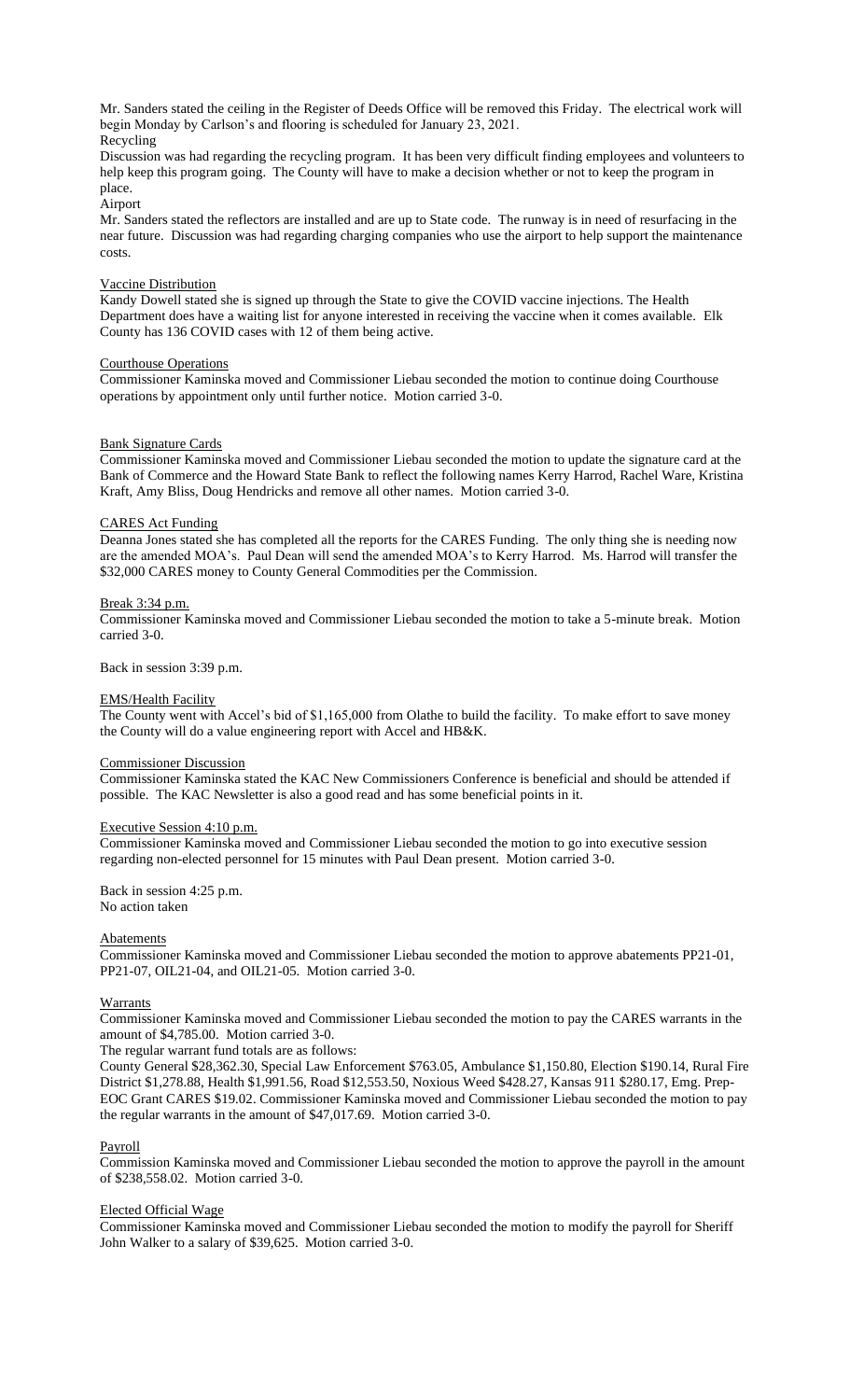Mr. Sanders stated the ceiling in the Register of Deeds Office will be removed this Friday. The electrical work will begin Monday by Carlson's and flooring is scheduled for January 23, 2021. Recycling

Discussion was had regarding the recycling program. It has been very difficult finding employees and volunteers to help keep this program going. The County will have to make a decision whether or not to keep the program in place.

Airport

Mr. Sanders stated the reflectors are installed and are up to State code. The runway is in need of resurfacing in the near future. Discussion was had regarding charging companies who use the airport to help support the maintenance costs.

# Vaccine Distribution

Kandy Dowell stated she is signed up through the State to give the COVID vaccine injections. The Health Department does have a waiting list for anyone interested in receiving the vaccine when it comes available. Elk County has 136 COVID cases with 12 of them being active.

### Courthouse Operations

Commissioner Kaminska moved and Commissioner Liebau seconded the motion to continue doing Courthouse operations by appointment only until further notice. Motion carried 3-0.

### Bank Signature Cards

Commissioner Kaminska moved and Commissioner Liebau seconded the motion to update the signature card at the Bank of Commerce and the Howard State Bank to reflect the following names Kerry Harrod, Rachel Ware, Kristina Kraft, Amy Bliss, Doug Hendricks and remove all other names. Motion carried 3-0.

# CARES Act Funding

Deanna Jones stated she has completed all the reports for the CARES Funding. The only thing she is needing now are the amended MOA's. Paul Dean will send the amended MOA's to Kerry Harrod. Ms. Harrod will transfer the \$32,000 CARES money to County General Commodities per the Commission.

# Break 3:34 p.m.

Commissioner Kaminska moved and Commissioner Liebau seconded the motion to take a 5-minute break. Motion carried 3-0.

Back in session 3:39 p.m.

### EMS/Health Facility

The County went with Accel's bid of \$1,165,000 from Olathe to build the facility. To make effort to save money the County will do a value engineering report with Accel and HB&K.

#### Commissioner Discussion

Commissioner Kaminska stated the KAC New Commissioners Conference is beneficial and should be attended if possible. The KAC Newsletter is also a good read and has some beneficial points in it.

# Executive Session 4:10 p.m.

Commissioner Kaminska moved and Commissioner Liebau seconded the motion to go into executive session regarding non-elected personnel for 15 minutes with Paul Dean present. Motion carried 3-0.

Back in session 4:25 p.m. No action taken

# **Abatements**

Commissioner Kaminska moved and Commissioner Liebau seconded the motion to approve abatements PP21-01, PP21-07, OIL21-04, and OIL21-05. Motion carried 3-0.

### Warrants

Commissioner Kaminska moved and Commissioner Liebau seconded the motion to pay the CARES warrants in the amount of \$4,785.00. Motion carried 3-0.

The regular warrant fund totals are as follows:

County General \$28,362.30, Special Law Enforcement \$763.05, Ambulance \$1,150.80, Election \$190.14, Rural Fire District \$1,278.88, Health \$1,991.56, Road \$12,553.50, Noxious Weed \$428.27, Kansas 911 \$280.17, Emg. Prep-EOC Grant CARES \$19.02. Commissioner Kaminska moved and Commissioner Liebau seconded the motion to pay the regular warrants in the amount of \$47,017.69. Motion carried 3-0.

#### Payroll

Commission Kaminska moved and Commissioner Liebau seconded the motion to approve the payroll in the amount of \$238,558.02. Motion carried 3-0.

# Elected Official Wage

Commissioner Kaminska moved and Commissioner Liebau seconded the motion to modify the payroll for Sheriff John Walker to a salary of \$39,625. Motion carried 3-0.